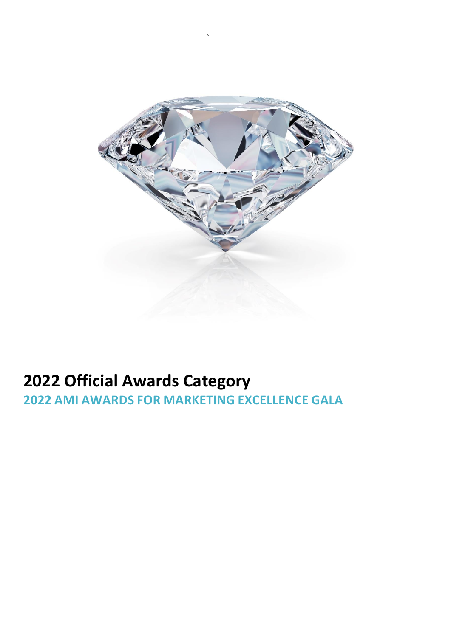

`

# **Official Awards Category**

**AMI AWARDS FOR MARKETING EXCELLENCE GALA**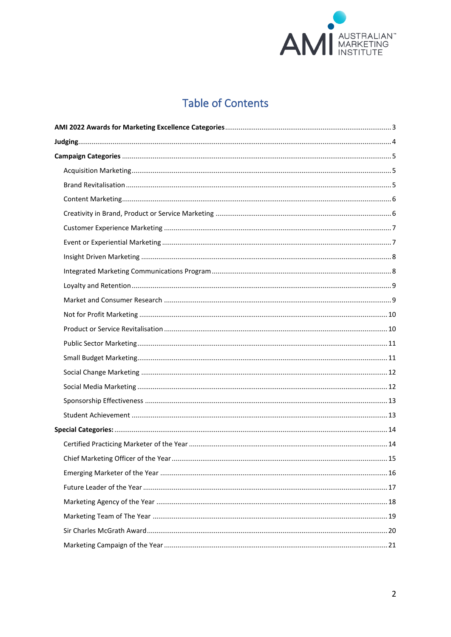

# **Table of Contents**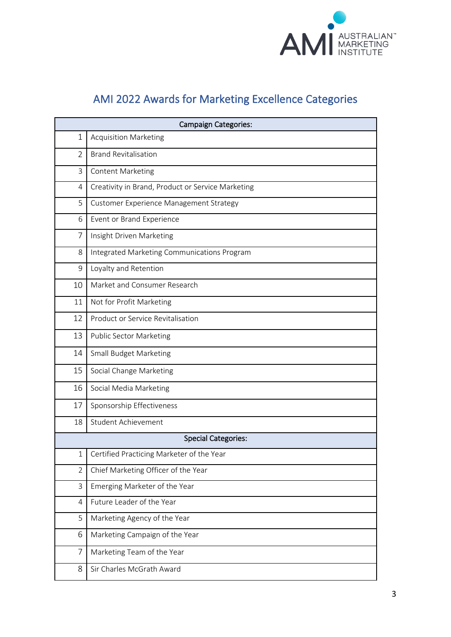

# AMI 2022 Awards for Marketing Excellence Categories

<span id="page-2-0"></span>

| <b>Campaign Categories:</b> |                                                   |  |  |  |
|-----------------------------|---------------------------------------------------|--|--|--|
| 1                           | <b>Acquisition Marketing</b>                      |  |  |  |
| $\overline{2}$              | <b>Brand Revitalisation</b>                       |  |  |  |
| 3                           | <b>Content Marketing</b>                          |  |  |  |
| $\overline{4}$              | Creativity in Brand, Product or Service Marketing |  |  |  |
| 5                           | Customer Experience Management Strategy           |  |  |  |
| 6                           | Event or Brand Experience                         |  |  |  |
| 7                           | Insight Driven Marketing                          |  |  |  |
| 8                           | Integrated Marketing Communications Program       |  |  |  |
| 9                           | Loyalty and Retention                             |  |  |  |
| 10                          | Market and Consumer Research                      |  |  |  |
| 11                          | Not for Profit Marketing                          |  |  |  |
| 12                          | Product or Service Revitalisation                 |  |  |  |
| 13                          | <b>Public Sector Marketing</b>                    |  |  |  |
| 14                          | <b>Small Budget Marketing</b>                     |  |  |  |
| 15                          | Social Change Marketing                           |  |  |  |
| 16                          | Social Media Marketing                            |  |  |  |
| 17                          | Sponsorship Effectiveness                         |  |  |  |
| 18                          | Student Achievement                               |  |  |  |
|                             | <b>Special Categories:</b>                        |  |  |  |
| 1                           | Certified Practicing Marketer of the Year         |  |  |  |
| $\overline{2}$              | Chief Marketing Officer of the Year               |  |  |  |
| 3                           | Emerging Marketer of the Year                     |  |  |  |
| $\overline{4}$              | Future Leader of the Year                         |  |  |  |
| 5                           | Marketing Agency of the Year                      |  |  |  |
| 6                           | Marketing Campaign of the Year                    |  |  |  |
| $\overline{7}$              | Marketing Team of the Year                        |  |  |  |
| 8                           | Sir Charles McGrath Award                         |  |  |  |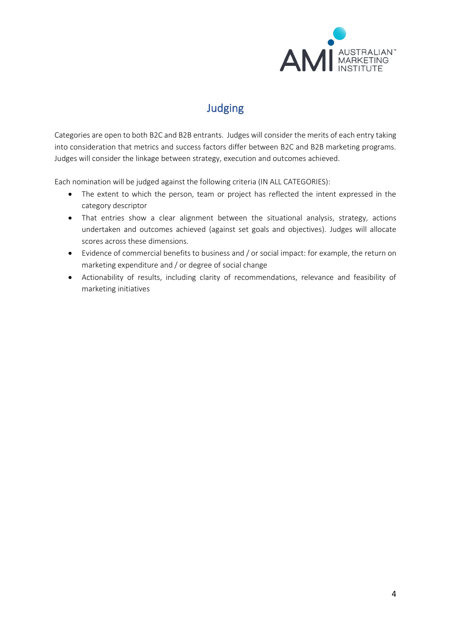

# Judging

<span id="page-3-0"></span>Categories are open to both B2C and B2B entrants. Judges will consider the merits of each entry taking into consideration that metrics and success factors differ between B2C and B2B marketing programs. Judges will consider the linkage between strategy, execution and outcomes achieved.

Each nomination will be judged against the following criteria (IN ALL CATEGORIES):

- The extent to which the person, team or project has reflected the intent expressed in the category descriptor
- That entries show a clear alignment between the situational analysis, strategy, actions undertaken and outcomes achieved (against set goals and objectives). Judges will allocate scores across these dimensions.
- Evidence of commercial benefits to business and / or social impact: for example, the return on marketing expenditure and / or degree of social change
- Actionability of results, including clarity of recommendations, relevance and feasibility of marketing initiatives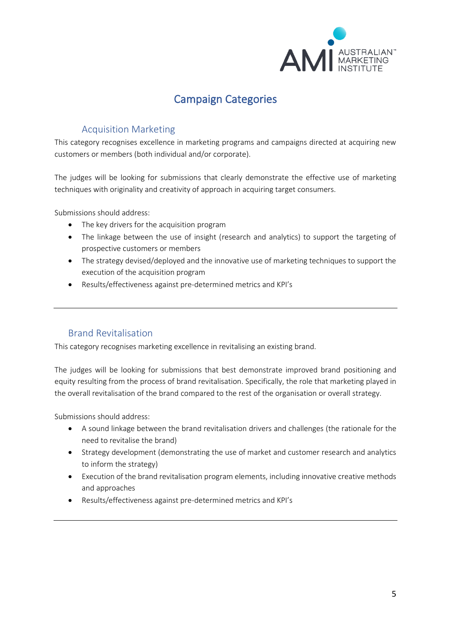

# Campaign Categories

# <span id="page-4-0"></span>Acquisition Marketing

<span id="page-4-1"></span>This category recognises excellence in marketing programs and campaigns directed at acquiring new customers or members (both individual and/or corporate).

The judges will be looking for submissions that clearly demonstrate the effective use of marketing techniques with originality and creativity of approach in acquiring target consumers.

Submissions should address:

- The key drivers for the acquisition program
- The linkage between the use of insight (research and analytics) to support the targeting of prospective customers or members
- The strategy devised/deployed and the innovative use of marketing techniques to support the execution of the acquisition program
- Results/effectiveness against pre-determined metrics and KPI's

## <span id="page-4-2"></span>Brand Revitalisation

This category recognises marketing excellence in revitalising an existing brand.

The judges will be looking for submissions that best demonstrate improved brand positioning and equity resulting from the process of brand revitalisation. Specifically, the role that marketing played in the overall revitalisation of the brand compared to the rest of the organisation or overall strategy.

- A sound linkage between the brand revitalisation drivers and challenges (the rationale for the need to revitalise the brand)
- Strategy development (demonstrating the use of market and customer research and analytics to inform the strategy)
- Execution of the brand revitalisation program elements, including innovative creative methods and approaches
- Results/effectiveness against pre-determined metrics and KPI's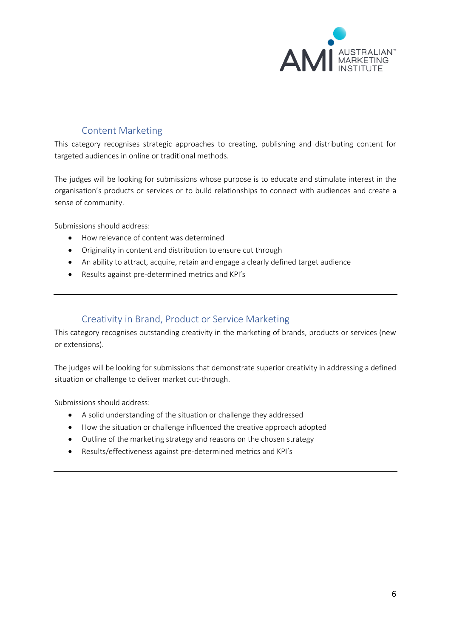

# Content Marketing

<span id="page-5-0"></span>This category recognises strategic approaches to creating, publishing and distributing content for targeted audiences in online or traditional methods.

The judges will be looking for submissions whose purpose is to educate and stimulate interest in the organisation's products or services or to build relationships to connect with audiences and create a sense of community.

Submissions should address:

- How relevance of content was determined
- Originality in content and distribution to ensure cut through
- An ability to attract, acquire, retain and engage a clearly defined target audience
- Results against pre-determined metrics and KPI's

#### Creativity in Brand, Product or Service Marketing

<span id="page-5-1"></span>This category recognises outstanding creativity in the marketing of brands, products or services (new or extensions).

The judges will be looking for submissions that demonstrate superior creativity in addressing a defined situation or challenge to deliver market cut-through.

- A solid understanding of the situation or challenge they addressed
- How the situation or challenge influenced the creative approach adopted
- Outline of the marketing strategy and reasons on the chosen strategy
- Results/effectiveness against pre-determined metrics and KPI's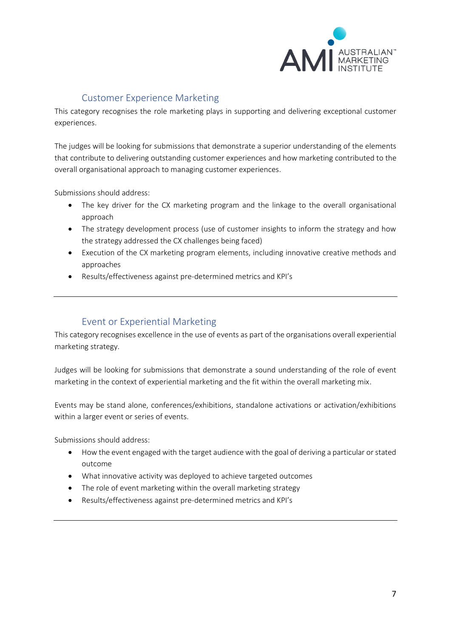

# Customer Experience Marketing

<span id="page-6-0"></span>This category recognises the role marketing plays in supporting and delivering exceptional customer experiences.

The judges will be looking for submissions that demonstrate a superior understanding of the elements that contribute to delivering outstanding customer experiences and how marketing contributed to the overall organisational approach to managing customer experiences.

Submissions should address:

- The key driver for the CX marketing program and the linkage to the overall organisational approach
- The strategy development process (use of customer insights to inform the strategy and how the strategy addressed the CX challenges being faced)
- Execution of the CX marketing program elements, including innovative creative methods and approaches
- Results/effectiveness against pre-determined metrics and KPI's

## Event or Experiential Marketing

<span id="page-6-1"></span>This category recognises excellence in the use of events as part of the organisations overall experiential marketing strategy.

Judges will be looking for submissions that demonstrate a sound understanding of the role of event marketing in the context of experiential marketing and the fit within the overall marketing mix.

Events may be stand alone, conferences/exhibitions, standalone activations or activation/exhibitions within a larger event or series of events.

- How the event engaged with the target audience with the goal of deriving a particular or stated outcome
- What innovative activity was deployed to achieve targeted outcomes
- The role of event marketing within the overall marketing strategy
- Results/effectiveness against pre-determined metrics and KPI's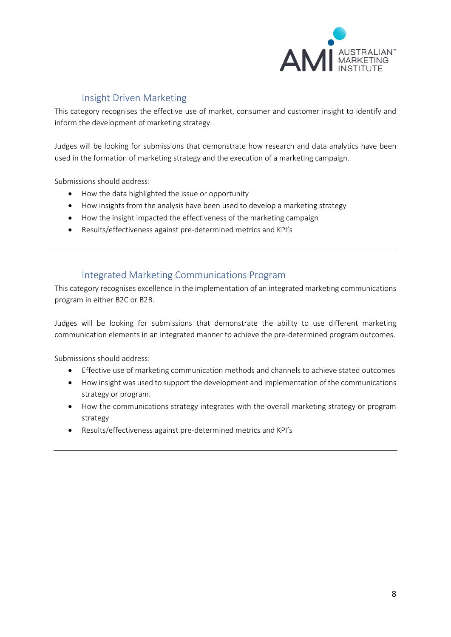

# Insight Driven Marketing

<span id="page-7-0"></span>This category recognises the effective use of market, consumer and customer insight to identify and inform the development of marketing strategy.

Judges will be looking for submissions that demonstrate how research and data analytics have been used in the formation of marketing strategy and the execution of a marketing campaign.

Submissions should address:

- How the data highlighted the issue or opportunity
- How insights from the analysis have been used to develop a marketing strategy
- How the insight impacted the effectiveness of the marketing campaign
- Results/effectiveness against pre-determined metrics and KPI's

## Integrated Marketing Communications Program

<span id="page-7-1"></span>This category recognises excellence in the implementation of an integrated marketing communications program in either B2C or B2B.

Judges will be looking for submissions that demonstrate the ability to use different marketing communication elements in an integrated manner to achieve the pre-determined program outcomes.

- Effective use of marketing communication methods and channels to achieve stated outcomes
- How insight was used to support the development and implementation of the communications strategy or program.
- How the communications strategy integrates with the overall marketing strategy or program strategy
- Results/effectiveness against pre-determined metrics and KPI's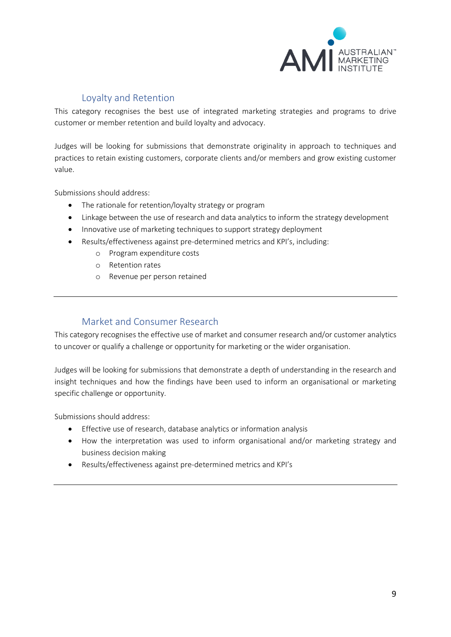

# Loyalty and Retention

<span id="page-8-0"></span>This category recognises the best use of integrated marketing strategies and programs to drive customer or member retention and build loyalty and advocacy.

Judges will be looking for submissions that demonstrate originality in approach to techniques and practices to retain existing customers, corporate clients and/or members and grow existing customer value.

Submissions should address:

- The rationale for retention/loyalty strategy or program
- Linkage between the use of research and data analytics to inform the strategy development
- Innovative use of marketing techniques to support strategy deployment
- Results/effectiveness against pre-determined metrics and KPI's, including:
	- o Program expenditure costs
	- o Retention rates
	- o Revenue per person retained

## Market and Consumer Research

<span id="page-8-1"></span>This category recognises the effective use of market and consumer research and/or customer analytics to uncover or qualify a challenge or opportunity for marketing or the wider organisation.

Judges will be looking for submissions that demonstrate a depth of understanding in the research and insight techniques and how the findings have been used to inform an organisational or marketing specific challenge or opportunity.

- Effective use of research, database analytics or information analysis
- How the interpretation was used to inform organisational and/or marketing strategy and business decision making
- Results/effectiveness against pre-determined metrics and KPI's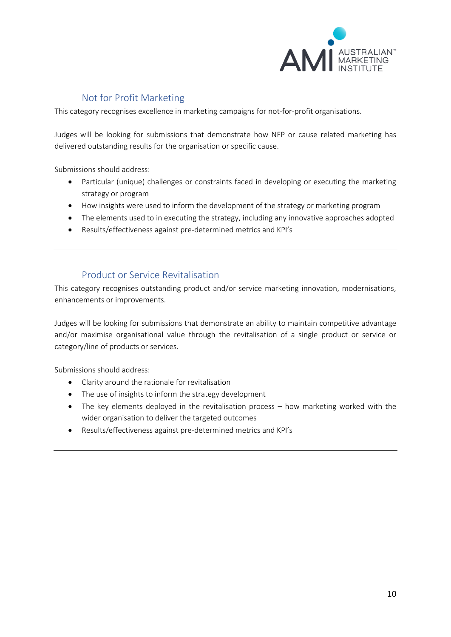

# Not for Profit Marketing

<span id="page-9-0"></span>This category recognises excellence in marketing campaigns for not-for-profit organisations.

Judges will be looking for submissions that demonstrate how NFP or cause related marketing has delivered outstanding results for the organisation or specific cause.

Submissions should address:

- Particular (unique) challenges or constraints faced in developing or executing the marketing strategy or program
- How insights were used to inform the development of the strategy or marketing program
- The elements used to in executing the strategy, including any innovative approaches adopted
- Results/effectiveness against pre-determined metrics and KPI's

#### Product or Service Revitalisation

<span id="page-9-1"></span>This category recognises outstanding product and/or service marketing innovation, modernisations, enhancements or improvements.

Judges will be looking for submissions that demonstrate an ability to maintain competitive advantage and/or maximise organisational value through the revitalisation of a single product or service or category/line of products or services.

- Clarity around the rationale for revitalisation
- The use of insights to inform the strategy development
- The key elements deployed in the revitalisation process how marketing worked with the wider organisation to deliver the targeted outcomes
- Results/effectiveness against pre-determined metrics and KPI's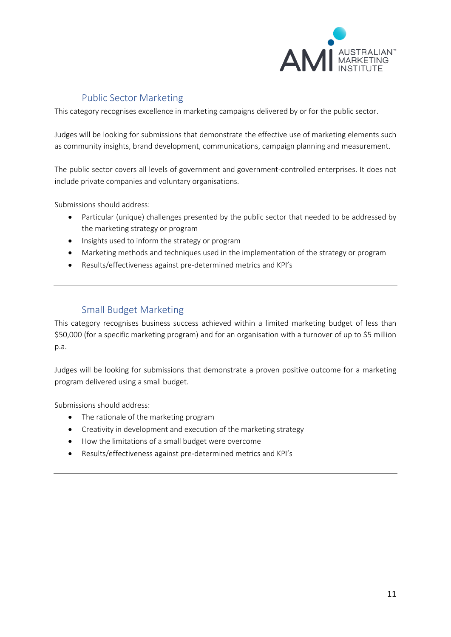

# Public Sector Marketing

<span id="page-10-0"></span>This category recognises excellence in marketing campaigns delivered by or for the public sector.

Judges will be looking for submissions that demonstrate the effective use of marketing elements such as community insights, brand development, communications, campaign planning and measurement.

The public sector covers all levels of government and government-controlled enterprises. It does not include private companies and voluntary organisations.

Submissions should address:

- Particular (unique) challenges presented by the public sector that needed to be addressed by the marketing strategy or program
- Insights used to inform the strategy or program
- Marketing methods and techniques used in the implementation of the strategy or program
- Results/effectiveness against pre-determined metrics and KPI's

#### Small Budget Marketing

<span id="page-10-1"></span>This category recognises business success achieved within a limited marketing budget of less than \$50,000 (for a specific marketing program) and for an organisation with a turnover of up to \$5 million p.a.

Judges will be looking for submissions that demonstrate a proven positive outcome for a marketing program delivered using a small budget.

- The rationale of the marketing program
- Creativity in development and execution of the marketing strategy
- How the limitations of a small budget were overcome
- Results/effectiveness against pre-determined metrics and KPI's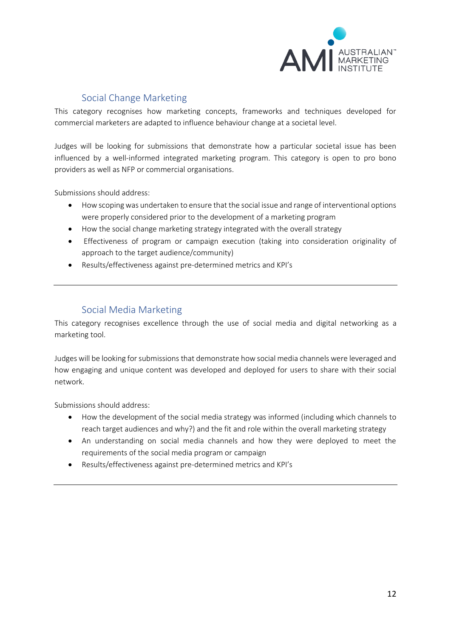

# Social Change Marketing

<span id="page-11-0"></span>This category recognises how marketing concepts, frameworks and techniques developed for commercial marketers are adapted to influence behaviour change at a societal level.

Judges will be looking for submissions that demonstrate how a particular societal issue has been influenced by a well-informed integrated marketing program. This category is open to pro bono providers as well as NFP or commercial organisations.

Submissions should address:

- How scoping was undertaken to ensure that the social issue and range of interventional options were properly considered prior to the development of a marketing program
- How the social change marketing strategy integrated with the overall strategy
- Effectiveness of program or campaign execution (taking into consideration originality of approach to the target audience/community)
- Results/effectiveness against pre-determined metrics and KPI's

## Social Media Marketing

<span id="page-11-1"></span>This category recognises excellence through the use of social media and digital networking as a marketing tool.

Judges will be looking for submissions that demonstrate how social media channels were leveraged and how engaging and unique content was developed and deployed for users to share with their social network.

- How the development of the social media strategy was informed (including which channels to reach target audiences and why?) and the fit and role within the overall marketing strategy
- An understanding on social media channels and how they were deployed to meet the requirements of the social media program or campaign
- Results/effectiveness against pre-determined metrics and KPI's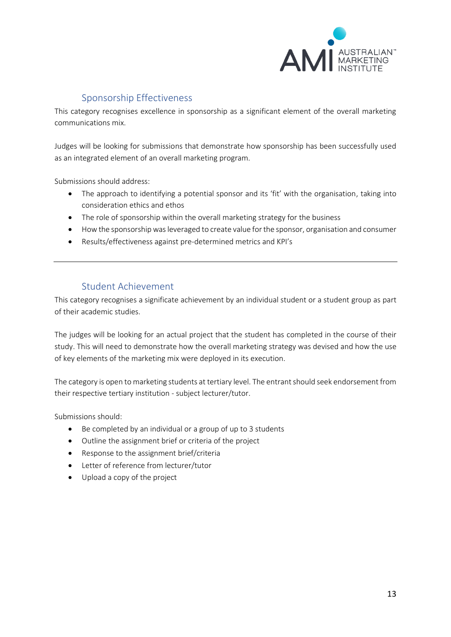

# Sponsorship Effectiveness

<span id="page-12-0"></span>This category recognises excellence in sponsorship as a significant element of the overall marketing communications mix.

Judges will be looking for submissions that demonstrate how sponsorship has been successfully used as an integrated element of an overall marketing program.

Submissions should address:

- The approach to identifying a potential sponsor and its 'fit' with the organisation, taking into consideration ethics and ethos
- The role of sponsorship within the overall marketing strategy for the business
- How the sponsorship was leveraged to create value for the sponsor, organisation and consumer
- Results/effectiveness against pre-determined metrics and KPI's

#### Student Achievement

<span id="page-12-1"></span>This category recognises a significate achievement by an individual student or a student group as part of their academic studies.

The judges will be looking for an actual project that the student has completed in the course of their study. This will need to demonstrate how the overall marketing strategy was devised and how the use of key elements of the marketing mix were deployed in its execution.

The category is open to marketing students at tertiary level. The entrant should seek endorsement from their respective tertiary institution - subject lecturer/tutor.

Submissions should:

- Be completed by an individual or a group of up to 3 students
- Outline the assignment brief or criteria of the project
- Response to the assignment brief/criteria
- Letter of reference from lecturer/tutor
- Upload a copy of the project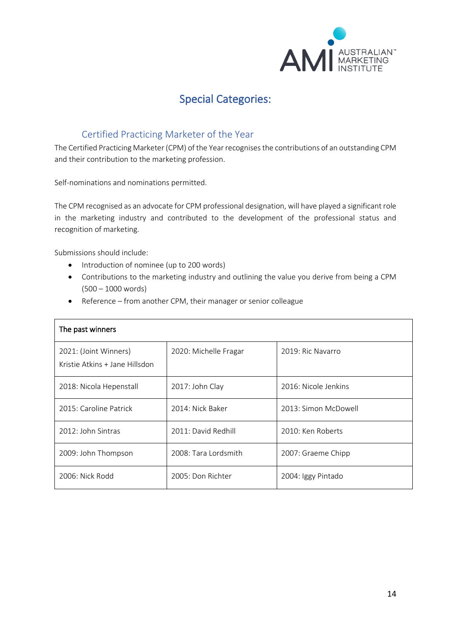

# Special Categories:

### <span id="page-13-0"></span>Certified Practicing Marketer of the Year

<span id="page-13-1"></span>The Certified Practicing Marketer (CPM) of the Year recognises the contributions of an outstanding CPM and their contribution to the marketing profession.

Self-nominations and nominations permitted.

The CPM recognised as an advocate for CPM professional designation, will have played a significant role in the marketing industry and contributed to the development of the professional status and recognition of marketing.

Submissions should include:

- Introduction of nominee (up to 200 words)
- Contributions to the marketing industry and outlining the value you derive from being a CPM (500 – 1000 words)
- Reference from another CPM, their manager or senior colleague

| The past winners                                        |                       |                      |  |
|---------------------------------------------------------|-----------------------|----------------------|--|
| 2021: (Joint Winners)<br>Kristie Atkins + Jane Hillsdon | 2020: Michelle Fragar | 2019: Ric Navarro    |  |
| 2018: Nicola Hepenstall                                 | 2017: John Clay       | 2016: Nicole Jenkins |  |
| 2015: Caroline Patrick                                  | 2014: Nick Baker      | 2013: Simon McDowell |  |
| 2012: John Sintras                                      | 2011: David Redhill   | 2010: Ken Roberts    |  |
| 2009: John Thompson                                     | 2008: Tara Lordsmith  | 2007: Graeme Chipp   |  |
| 2006: Nick Rodd                                         | 2005: Don Richter     | 2004: Iggy Pintado   |  |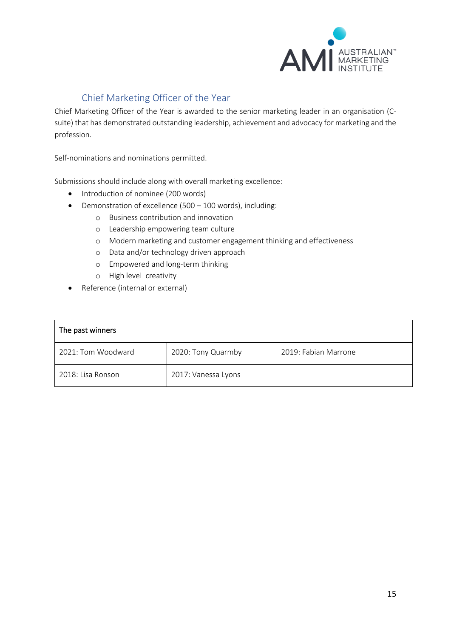

# Chief Marketing Officer of the Year

<span id="page-14-0"></span>Chief Marketing Officer of the Year is awarded to the senior marketing leader in an organisation (Csuite) that has demonstrated outstanding leadership, achievement and advocacy for marketing and the profession.

Self-nominations and nominations permitted.

Submissions should include along with overall marketing excellence:

- Introduction of nominee (200 words)
- Demonstration of excellence (500 100 words), including:
	- o Business contribution and innovation
	- o Leadership empowering team culture
	- o Modern marketing and customer engagement thinking and effectiveness
	- o Data and/or technology driven approach
	- o Empowered and long-term thinking
	- o High level creativity
- Reference (internal or external)

#### The past winners

| 2021: Tom Woodward | 2020: Tony Quarmby  | 2019: Fabian Marrone |
|--------------------|---------------------|----------------------|
| 2018: Lisa Ronson  | 2017: Vanessa Lyons |                      |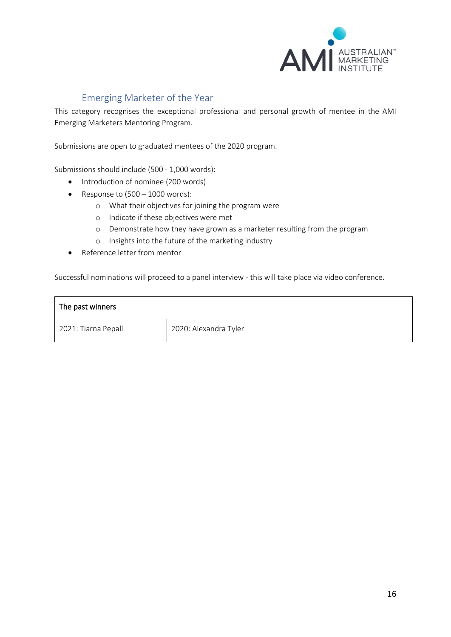

# Emerging Marketer of the Year

<span id="page-15-0"></span>This category recognises the exceptional professional and personal growth of mentee in the AMI Emerging Marketers Mentoring Program.

Submissions are open to graduated mentees of the 2020 program.

Submissions should include (500 - 1,000 words):

- Introduction of nominee (200 words)
- Response to  $(500 1000$  words):
	- o What their objectives for joining the program were
	- o Indicate if these objectives were met
	- o Demonstrate how they have grown as a marketer resulting from the program
	- o Insights into the future of the marketing industry
- Reference letter from mentor

Successful nominations will proceed to a panel interview - this will take place via video conference.

| The past winners    |                       |  |
|---------------------|-----------------------|--|
| 2021: Tiarna Pepall | 2020: Alexandra Tyler |  |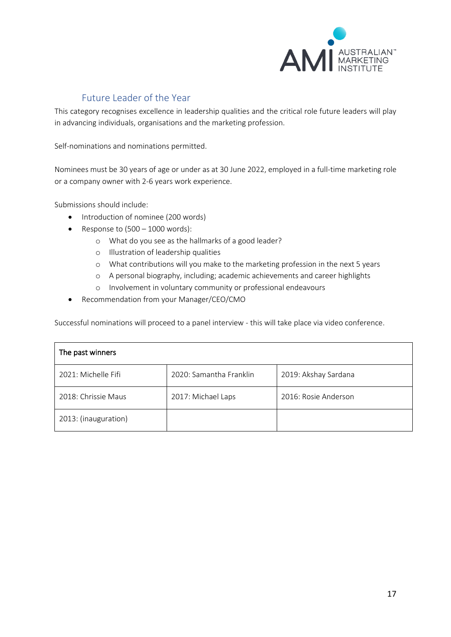

# Future Leader of the Year

<span id="page-16-0"></span>This category recognises excellence in leadership qualities and the critical role future leaders will play in advancing individuals, organisations and the marketing profession.

Self-nominations and nominations permitted.

Nominees must be 30 years of age or under as at 30 June 2022, employed in a full-time marketing role or a company owner with 2-6 years work experience.

Submissions should include:

- Introduction of nominee (200 words)
- Response to  $(500 1000$  words):
	- o What do you see as the hallmarks of a good leader?
	- o Illustration of leadership qualities
	- o What contributions will you make to the marketing profession in the next 5 years
	- o A personal biography, including; academic achievements and career highlights
	- o Involvement in voluntary community or professional endeavours
- Recommendation from your Manager/CEO/CMO

Successful nominations will proceed to a panel interview - this will take place via video conference.

| The past winners     |                         |                      |  |
|----------------------|-------------------------|----------------------|--|
| 2021: Michelle Fifi  | 2020: Samantha Franklin | 2019: Akshay Sardana |  |
| 2018: Chrissie Maus  | 2017: Michael Laps      | 2016: Rosie Anderson |  |
| 2013: (inauguration) |                         |                      |  |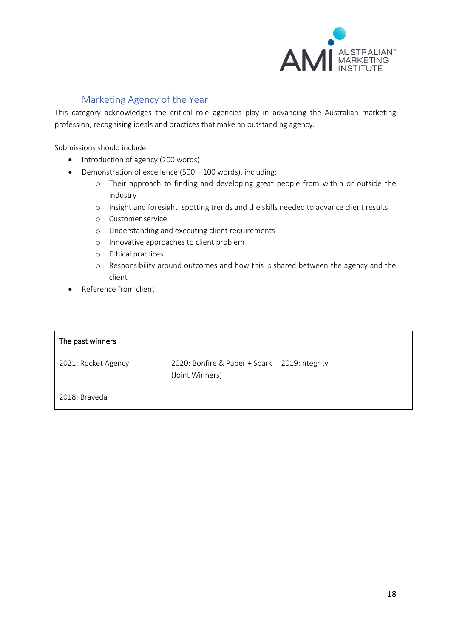

# Marketing Agency of the Year

<span id="page-17-0"></span>This category acknowledges the critical role agencies play in advancing the Australian marketing profession, recognising ideals and practices that make an outstanding agency.

Submissions should include:

- Introduction of agency (200 words)
- Demonstration of excellence (500 100 words), including:
	- o Their approach to finding and developing great people from within or outside the industry
	- o Insight and foresight: spotting trends and the skills needed to advance client results
	- o Customer service
	- o Understanding and executing client requirements
	- o Innovative approaches to client problem
	- o Ethical practices
	- o Responsibility around outcomes and how this is shared between the agency and the client
- Reference from client

| The past winners    |                                                                   |  |  |
|---------------------|-------------------------------------------------------------------|--|--|
| 2021: Rocket Agency | 2020: Bonfire & Paper + Spark   2019: ntegrity<br>(Joint Winners) |  |  |
| 2018: Braveda       |                                                                   |  |  |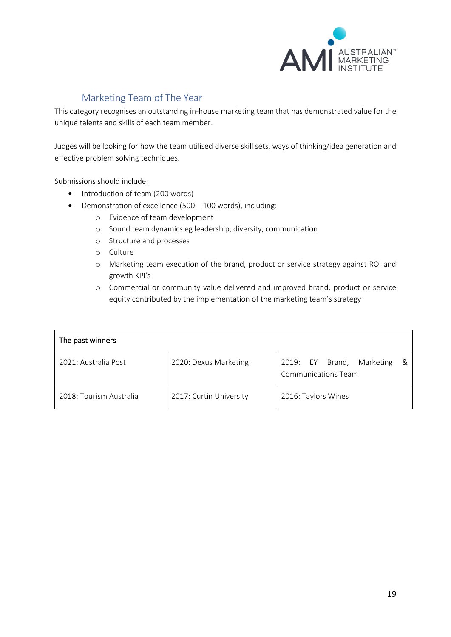

# Marketing Team of The Year

<span id="page-18-0"></span>This category recognises an outstanding in-house marketing team that has demonstrated value for the unique talents and skills of each team member.

Judges will be looking for how the team utilised diverse skill sets, ways of thinking/idea generation and effective problem solving techniques.

Submissions should include:

- Introduction of team (200 words)
- Demonstration of excellence (500 100 words), including:
	- o Evidence of team development
	- o Sound team dynamics eg leadership, diversity, communication
	- o Structure and processes
	- o Culture
	- o Marketing team execution of the brand, product or service strategy against ROI and growth KPI's
	- o Commercial or community value delivered and improved brand, product or service equity contributed by the implementation of the marketing team's strategy

| The past winners        |                         |                                                                   |  |
|-------------------------|-------------------------|-------------------------------------------------------------------|--|
| 2021: Australia Post    | 2020: Dexus Marketing   | 2019: EY Brand,<br>Marketing<br>- &<br><b>Communications Team</b> |  |
| 2018: Tourism Australia | 2017: Curtin University | 2016: Taylors Wines                                               |  |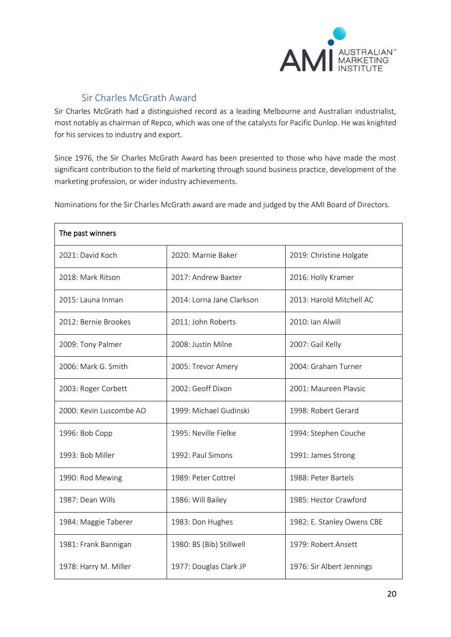

# Sir Charles McGrath Award

<span id="page-19-0"></span>Sir Charles McGrath had a distinguished record as a leading Melbourne and Australian industrialist, most notably as chairman of Repco, which was one of the catalysts for Pacific Dunlop. He was knighted for his services to industry and export.

Since 1976, the Sir Charles McGrath Award has been presented to those who have made the most significant contribution to the field of marketing through sound business practice, development of the marketing profession, or wider industry achievements.

Nominations for the Sir Charles McGrath award are made and judged by the AMI Board of Directors.

| 2021: David Koch        | 2020: Marnie Baker        | 2019: Christine Holgate    |
|-------------------------|---------------------------|----------------------------|
| 2018: Mark Ritson       | 2017: Andrew Baxter       | 2016: Holly Kramer         |
| 2015: Launa Inman       | 2014: Lorna Jane Clarkson | 2013: Harold Mitchell AC   |
| 2012: Bernie Brookes    | 2011: John Roberts        | 2010: Ian Alwill           |
| 2009: Tony Palmer       | 2008: Justin Milne        | 2007: Gail Kelly           |
| 2006: Mark G. Smith     | 2005: Trevor Amery        | 2004: Graham Turner        |
| 2003: Roger Corbett     | 2002: Geoff Dixon         | 2001: Maureen Plavsic      |
| 2000: Kevin Luscombe AO | 1999: Michael Gudinski    | 1998: Robert Gerard        |
| 1996: Bob Copp          | 1995: Neville Fielke      | 1994: Stephen Couche       |
| 1993: Bob Miller        | 1992: Paul Simons         | 1991: James Strong         |
| 1990: Rod Mewing        | 1989: Peter Cottrel       | 1988: Peter Bartels        |
| 1987: Dean Wills        | 1986: Will Bailey         | 1985: Hector Crawford      |
| 1984: Maggie Taberer    | 1983: Don Hughes          | 1982: E. Stanley Owens CBE |
| 1981: Frank Bannigan    | 1980: BS (Bib) Stillwell  | 1979: Robert Ansett        |
| 1978: Harry M. Miller   | 1977: Douglas Clark JP    | 1976: Sir Albert Jennings  |

#### The past winners